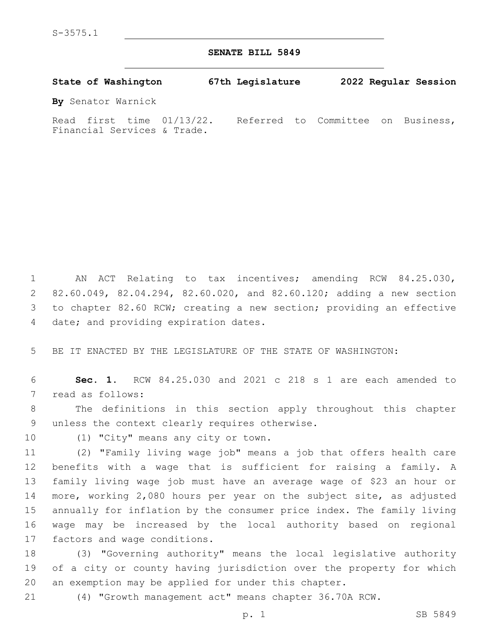## **SENATE BILL 5849**

| State of Washington                                         | 67th Legislature                   |  | 2022 Regular Session |
|-------------------------------------------------------------|------------------------------------|--|----------------------|
| By Senator Warnick                                          |                                    |  |                      |
| Read first time $01/13/22$ .<br>Financial Services & Trade. | Referred to Committee on Business, |  |                      |

 AN ACT Relating to tax incentives; amending RCW 84.25.030, 82.60.049, 82.04.294, 82.60.020, and 82.60.120; adding a new section to chapter 82.60 RCW; creating a new section; providing an effective 4 date; and providing expiration dates.

5 BE IT ENACTED BY THE LEGISLATURE OF THE STATE OF WASHINGTON:

6 **Sec. 1.** RCW 84.25.030 and 2021 c 218 s 1 are each amended to 7 read as follows:

8 The definitions in this section apply throughout this chapter 9 unless the context clearly requires otherwise.

10 (1) "City" means any city or town.

 (2) "Family living wage job" means a job that offers health care benefits with a wage that is sufficient for raising a family. A family living wage job must have an average wage of \$23 an hour or more, working 2,080 hours per year on the subject site, as adjusted annually for inflation by the consumer price index. The family living wage may be increased by the local authority based on regional 17 factors and wage conditions.

18 (3) "Governing authority" means the local legislative authority 19 of a city or county having jurisdiction over the property for which 20 an exemption may be applied for under this chapter.

21 (4) "Growth management act" means chapter 36.70A RCW.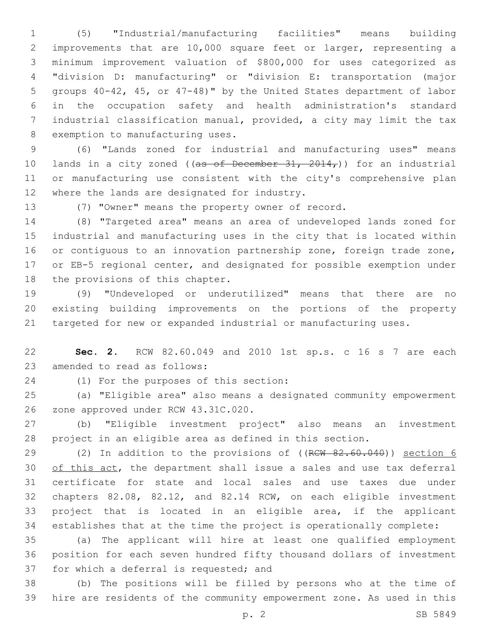(5) "Industrial/manufacturing facilities" means building improvements that are 10,000 square feet or larger, representing a minimum improvement valuation of \$800,000 for uses categorized as "division D: manufacturing" or "division E: transportation (major groups 40-42, 45, or 47-48)" by the United States department of labor in the occupation safety and health administration's standard industrial classification manual, provided, a city may limit the tax 8 exemption to manufacturing uses.

 (6) "Lands zoned for industrial and manufacturing uses" means 10 lands in a city zoned ((as of December  $31, 2014$ )) for an industrial or manufacturing use consistent with the city's comprehensive plan 12 where the lands are designated for industry.

(7) "Owner" means the property owner of record.

 (8) "Targeted area" means an area of undeveloped lands zoned for industrial and manufacturing uses in the city that is located within 16 or contiguous to an innovation partnership zone, foreign trade zone, or EB-5 regional center, and designated for possible exemption under 18 the provisions of this chapter.

 (9) "Undeveloped or underutilized" means that there are no existing building improvements on the portions of the property targeted for new or expanded industrial or manufacturing uses.

 **Sec. 2.** RCW 82.60.049 and 2010 1st sp.s. c 16 s 7 are each 23 amended to read as follows:

(1) For the purposes of this section:24

 (a) "Eligible area" also means a designated community empowerment 26 zone approved under RCW 43.31C.020.

 (b) "Eligible investment project" also means an investment project in an eligible area as defined in this section.

29 (2) In addition to the provisions of ((RCW 82.60.040)) section 6 30 of this act, the department shall issue a sales and use tax deferral certificate for state and local sales and use taxes due under chapters 82.08, 82.12, and 82.14 RCW, on each eligible investment project that is located in an eligible area, if the applicant establishes that at the time the project is operationally complete:

 (a) The applicant will hire at least one qualified employment position for each seven hundred fifty thousand dollars of investment 37 for which a deferral is requested; and

 (b) The positions will be filled by persons who at the time of hire are residents of the community empowerment zone. As used in this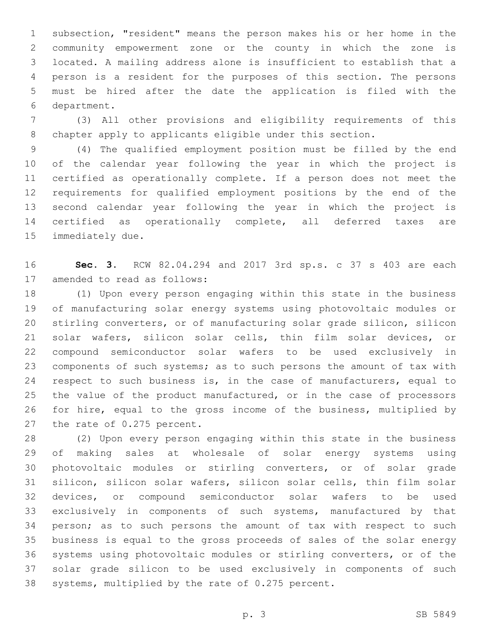subsection, "resident" means the person makes his or her home in the community empowerment zone or the county in which the zone is located. A mailing address alone is insufficient to establish that a person is a resident for the purposes of this section. The persons must be hired after the date the application is filed with the department.6

 (3) All other provisions and eligibility requirements of this chapter apply to applicants eligible under this section.

 (4) The qualified employment position must be filled by the end of the calendar year following the year in which the project is certified as operationally complete. If a person does not meet the requirements for qualified employment positions by the end of the second calendar year following the year in which the project is certified as operationally complete, all deferred taxes are 15 immediately due.

 **Sec. 3.** RCW 82.04.294 and 2017 3rd sp.s. c 37 s 403 are each 17 amended to read as follows:

 (1) Upon every person engaging within this state in the business of manufacturing solar energy systems using photovoltaic modules or stirling converters, or of manufacturing solar grade silicon, silicon solar wafers, silicon solar cells, thin film solar devices, or compound semiconductor solar wafers to be used exclusively in components of such systems; as to such persons the amount of tax with 24 respect to such business is, in the case of manufacturers, equal to the value of the product manufactured, or in the case of processors for hire, equal to the gross income of the business, multiplied by 27 the rate of 0.275 percent.

 (2) Upon every person engaging within this state in the business of making sales at wholesale of solar energy systems using photovoltaic modules or stirling converters, or of solar grade silicon, silicon solar wafers, silicon solar cells, thin film solar devices, or compound semiconductor solar wafers to be used exclusively in components of such systems, manufactured by that person; as to such persons the amount of tax with respect to such business is equal to the gross proceeds of sales of the solar energy systems using photovoltaic modules or stirling converters, or of the solar grade silicon to be used exclusively in components of such 38 systems, multiplied by the rate of 0.275 percent.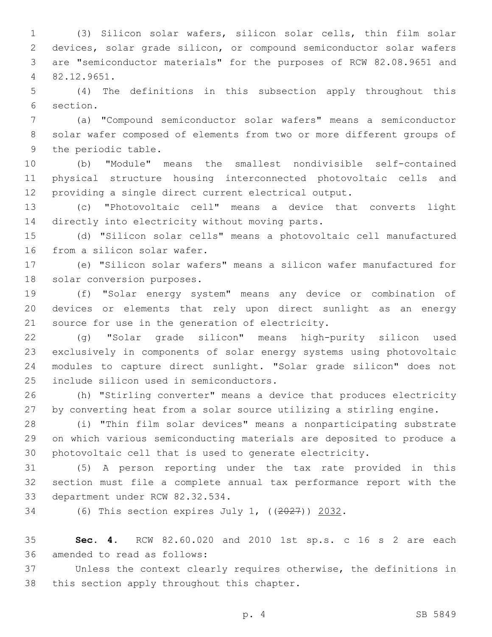(3) Silicon solar wafers, silicon solar cells, thin film solar devices, solar grade silicon, or compound semiconductor solar wafers are "semiconductor materials" for the purposes of RCW 82.08.9651 and 82.12.9651.4

 (4) The definitions in this subsection apply throughout this 6 section.

 (a) "Compound semiconductor solar wafers" means a semiconductor solar wafer composed of elements from two or more different groups of 9 the periodic table.

 (b) "Module" means the smallest nondivisible self-contained physical structure housing interconnected photovoltaic cells and providing a single direct current electrical output.

 (c) "Photovoltaic cell" means a device that converts light 14 directly into electricity without moving parts.

 (d) "Silicon solar cells" means a photovoltaic cell manufactured 16 from a silicon solar wafer.

 (e) "Silicon solar wafers" means a silicon wafer manufactured for 18 solar conversion purposes.

 (f) "Solar energy system" means any device or combination of devices or elements that rely upon direct sunlight as an energy 21 source for use in the generation of electricity.

 (g) "Solar grade silicon" means high-purity silicon used exclusively in components of solar energy systems using photovoltaic modules to capture direct sunlight. "Solar grade silicon" does not 25 include silicon used in semiconductors.

 (h) "Stirling converter" means a device that produces electricity by converting heat from a solar source utilizing a stirling engine.

 (i) "Thin film solar devices" means a nonparticipating substrate on which various semiconducting materials are deposited to produce a photovoltaic cell that is used to generate electricity.

 (5) A person reporting under the tax rate provided in this section must file a complete annual tax performance report with the 33 department under RCW 82.32.534.

(6) This section expires July 1, ((2027)) 2032.

 **Sec. 4.** RCW 82.60.020 and 2010 1st sp.s. c 16 s 2 are each 36 amended to read as follows:

 Unless the context clearly requires otherwise, the definitions in 38 this section apply throughout this chapter.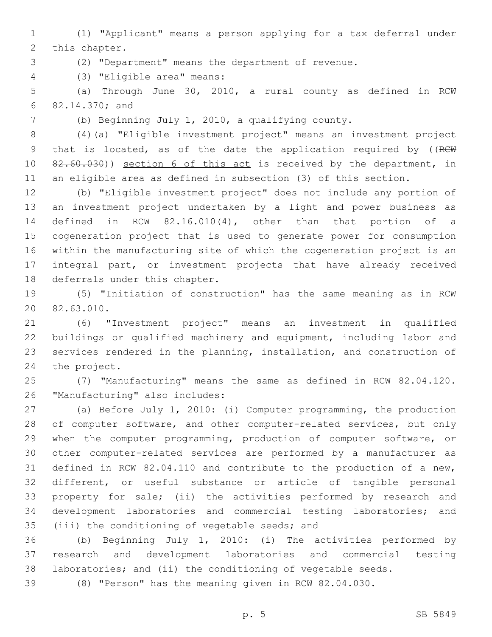(1) "Applicant" means a person applying for a tax deferral under 2 this chapter.

(2) "Department" means the department of revenue.

(3) "Eligible area" means:4

 (a) Through June 30, 2010, a rural county as defined in RCW 82.14.370; and6

(b) Beginning July 1, 2010, a qualifying county.

 (4)(a) "Eligible investment project" means an investment project 9 that is located, as of the date the application required by ((RCW) 82.60.030)) section 6 of this act is received by the department, in an eligible area as defined in subsection (3) of this section.

 (b) "Eligible investment project" does not include any portion of an investment project undertaken by a light and power business as defined in RCW 82.16.010(4), other than that portion of a cogeneration project that is used to generate power for consumption within the manufacturing site of which the cogeneration project is an integral part, or investment projects that have already received 18 deferrals under this chapter.

 (5) "Initiation of construction" has the same meaning as in RCW 20 82.63.010.

 (6) "Investment project" means an investment in qualified buildings or qualified machinery and equipment, including labor and services rendered in the planning, installation, and construction of 24 the project.

 (7) "Manufacturing" means the same as defined in RCW 82.04.120. 26 "Manufacturing" also includes:

 (a) Before July 1, 2010: (i) Computer programming, the production 28 of computer software, and other computer-related services, but only when the computer programming, production of computer software, or other computer-related services are performed by a manufacturer as defined in RCW 82.04.110 and contribute to the production of a new, different, or useful substance or article of tangible personal property for sale; (ii) the activities performed by research and development laboratories and commercial testing laboratories; and 35 (iii) the conditioning of vegetable seeds; and

 (b) Beginning July 1, 2010: (i) The activities performed by research and development laboratories and commercial testing laboratories; and (ii) the conditioning of vegetable seeds.

(8) "Person" has the meaning given in RCW 82.04.030.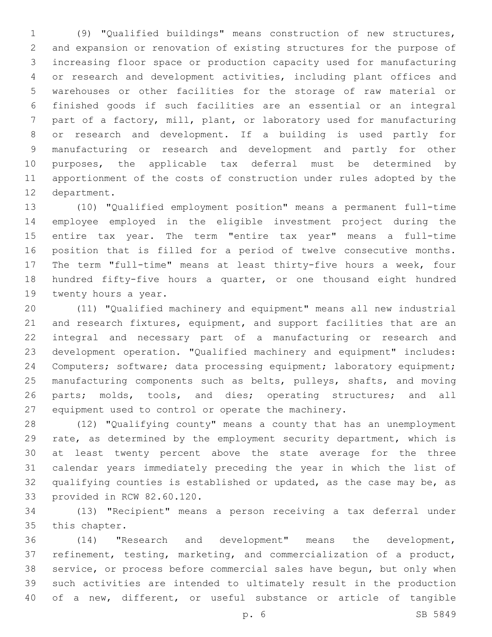(9) "Qualified buildings" means construction of new structures, and expansion or renovation of existing structures for the purpose of increasing floor space or production capacity used for manufacturing or research and development activities, including plant offices and warehouses or other facilities for the storage of raw material or finished goods if such facilities are an essential or an integral part of a factory, mill, plant, or laboratory used for manufacturing or research and development. If a building is used partly for manufacturing or research and development and partly for other purposes, the applicable tax deferral must be determined by apportionment of the costs of construction under rules adopted by the 12 department.

 (10) "Qualified employment position" means a permanent full-time employee employed in the eligible investment project during the entire tax year. The term "entire tax year" means a full-time position that is filled for a period of twelve consecutive months. The term "full-time" means at least thirty-five hours a week, four hundred fifty-five hours a quarter, or one thousand eight hundred 19 twenty hours a year.

 (11) "Qualified machinery and equipment" means all new industrial 21 and research fixtures, equipment, and support facilities that are an integral and necessary part of a manufacturing or research and development operation. "Qualified machinery and equipment" includes: Computers; software; data processing equipment; laboratory equipment; manufacturing components such as belts, pulleys, shafts, and moving 26 parts; molds, tools, and dies; operating structures; and all equipment used to control or operate the machinery.

 (12) "Qualifying county" means a county that has an unemployment 29 rate, as determined by the employment security department, which is at least twenty percent above the state average for the three calendar years immediately preceding the year in which the list of qualifying counties is established or updated, as the case may be, as 33 provided in RCW 82.60.120.

 (13) "Recipient" means a person receiving a tax deferral under 35 this chapter.

 (14) "Research and development" means the development, refinement, testing, marketing, and commercialization of a product, service, or process before commercial sales have begun, but only when such activities are intended to ultimately result in the production of a new, different, or useful substance or article of tangible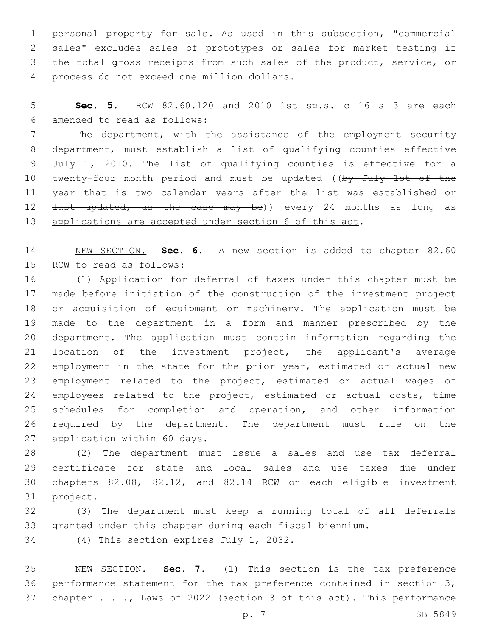personal property for sale. As used in this subsection, "commercial sales" excludes sales of prototypes or sales for market testing if the total gross receipts from such sales of the product, service, or 4 process do not exceed one million dollars.

 **Sec. 5.** RCW 82.60.120 and 2010 1st sp.s. c 16 s 3 are each amended to read as follows:6

 The department, with the assistance of the employment security department, must establish a list of qualifying counties effective July 1, 2010. The list of qualifying counties is effective for a 10 twenty-four month period and must be updated ((by July 1st of the 11 year that is two calendar years after the list was established or 12 <del>last updated, as the case may be</del>)) every 24 months as long as 13 applications are accepted under section 6 of this act.

 NEW SECTION. **Sec. 6.** A new section is added to chapter 82.60 15 RCW to read as follows:

 (1) Application for deferral of taxes under this chapter must be made before initiation of the construction of the investment project or acquisition of equipment or machinery. The application must be made to the department in a form and manner prescribed by the department. The application must contain information regarding the location of the investment project, the applicant's average employment in the state for the prior year, estimated or actual new employment related to the project, estimated or actual wages of employees related to the project, estimated or actual costs, time schedules for completion and operation, and other information 26 required by the department. The department must rule on the 27 application within 60 days.

 (2) The department must issue a sales and use tax deferral certificate for state and local sales and use taxes due under chapters 82.08, 82.12, and 82.14 RCW on each eligible investment 31 project.

 (3) The department must keep a running total of all deferrals granted under this chapter during each fiscal biennium.

34 (4) This section expires July 1, 2032.

 NEW SECTION. **Sec. 7.** (1) This section is the tax preference performance statement for the tax preference contained in section 3, 37 chapter . . ., Laws of 2022 (section 3 of this act). This performance